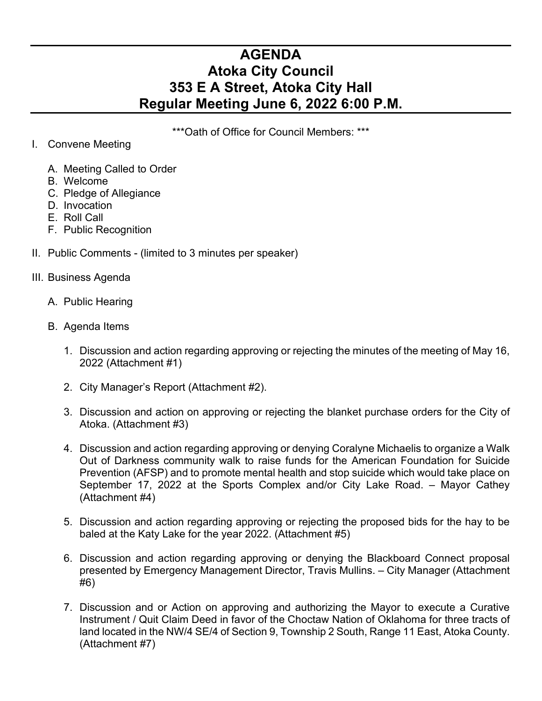## **AGENDA Atoka City Council 353 E A Street, Atoka City Hall Regular Meeting June 6, 2022 6:00 P.M.**

\*\*\*Oath of Office for Council Members: \*\*\*

## I. Convene Meeting

- A. Meeting Called to Order
- B. Welcome
- C. Pledge of Allegiance
- D. Invocation
- E. Roll Call
- F. Public Recognition
- II. Public Comments (limited to 3 minutes per speaker)

## III. Business Agenda

- A. Public Hearing
- B. Agenda Items
	- 1. Discussion and action regarding approving or rejecting the minutes of the meeting of May 16, 2022 (Attachment #1)
	- 2. City Manager's Report (Attachment #2).
	- 3. Discussion and action on approving or rejecting the blanket purchase orders for the City of Atoka. (Attachment #3)
	- 4. Discussion and action regarding approving or denying Coralyne Michaelis to organize a Walk Out of Darkness community walk to raise funds for the American Foundation for Suicide Prevention (AFSP) and to promote mental health and stop suicide which would take place on September 17, 2022 at the Sports Complex and/or City Lake Road. – Mayor Cathey (Attachment #4)
	- 5. Discussion and action regarding approving or rejecting the proposed bids for the hay to be baled at the Katy Lake for the year 2022. (Attachment #5)
	- 6. Discussion and action regarding approving or denying the Blackboard Connect proposal presented by Emergency Management Director, Travis Mullins. – City Manager (Attachment #6)
	- 7. Discussion and or Action on approving and authorizing the Mayor to execute a Curative Instrument / Quit Claim Deed in favor of the Choctaw Nation of Oklahoma for three tracts of land located in the NW/4 SE/4 of Section 9, Township 2 South, Range 11 East, Atoka County. (Attachment #7)